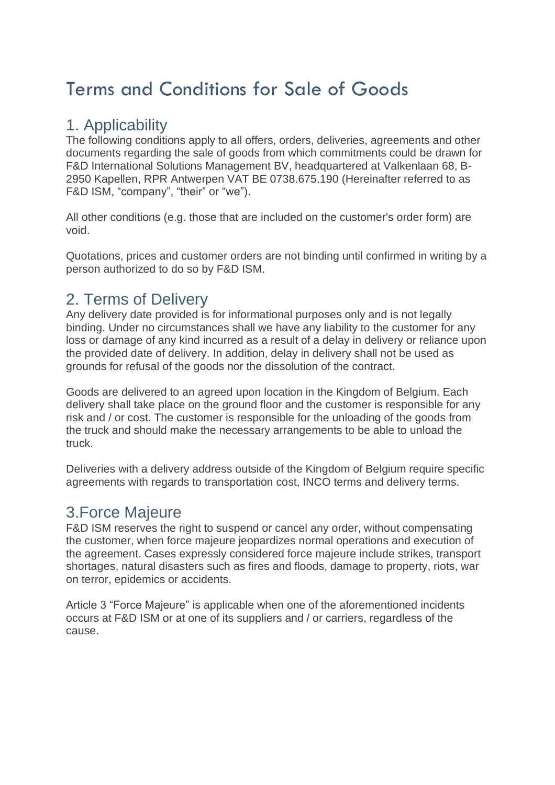# Terms and Conditions for Sale of Goods

#### 1. Applicability

The following conditions apply to all offers, orders, deliveries, agreements and other documents regarding the sale of goods from which commitments could be drawn for F&D International Solutions Management BV, headquartered at Valkenlaan 68, B-2950 Kapellen, RPR Antwerpen VAT BE 0738.675.190 (Hereinafter referred to as F&D ISM, "company", "their" or "we").

All other conditions (e.g. those that are included on the customer's order form) are void.

Quotations, prices and customer orders are not binding until confirmed in writing by a person authorized to do so by F&D ISM.

## 2. Terms of Delivery

Any delivery date provided is for informational purposes only and is not legally binding. Under no circumstances shall we have any liability to the customer for any loss or damage of any kind incurred as a result of a delay in delivery or reliance upon the provided date of delivery. In addition, delay in delivery shall not be used as grounds for refusal of the goods nor the dissolution of the contract.

Goods are delivered to an agreed upon location in the Kingdom of Belgium. Each delivery shall take place on the ground floor and the customer is responsible for any risk and / or cost. The customer is responsible for the unloading of the goods from the truck and should make the necessary arrangements to be able to unload the truck.

Deliveries with a delivery address outside of the Kingdom of Belgium require specific agreements with regards to transportation cost, INCO terms and delivery terms.

## 3.Force Majeure

F&D ISM reserves the right to suspend or cancel any order, without compensating the customer, when force majeure jeopardizes normal operations and execution of the agreement. Cases expressly considered force majeure include strikes, transport shortages, natural disasters such as fires and floods, damage to property, riots, war on terror, epidemics or accidents.

Article 3 "Force Majeure" is applicable when one of the aforementioned incidents occurs at F&D ISM or at one of its suppliers and / or carriers, regardless of the cause.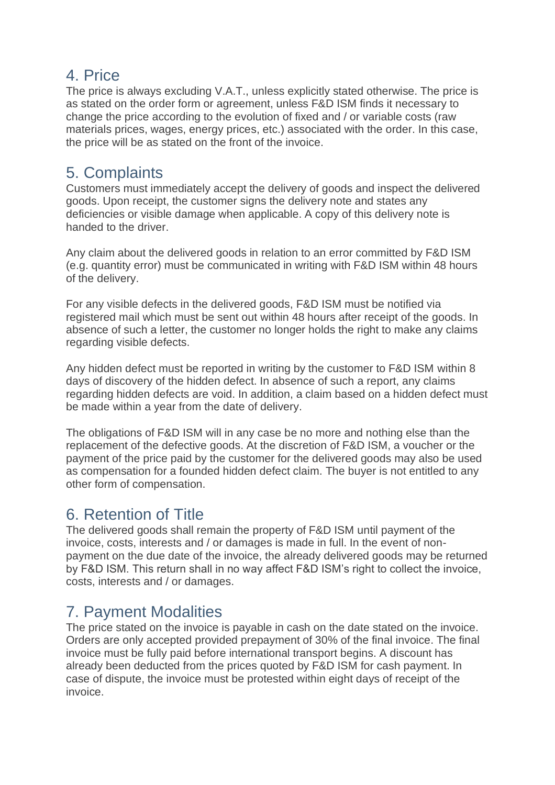#### 4. Price

The price is always excluding V.A.T., unless explicitly stated otherwise. The price is as stated on the order form or agreement, unless F&D ISM finds it necessary to change the price according to the evolution of fixed and / or variable costs (raw materials prices, wages, energy prices, etc.) associated with the order. In this case, the price will be as stated on the front of the invoice.

#### 5. Complaints

Customers must immediately accept the delivery of goods and inspect the delivered goods. Upon receipt, the customer signs the delivery note and states any deficiencies or visible damage when applicable. A copy of this delivery note is handed to the driver.

Any claim about the delivered goods in relation to an error committed by F&D ISM (e.g. quantity error) must be communicated in writing with F&D ISM within 48 hours of the delivery.

For any visible defects in the delivered goods, F&D ISM must be notified via registered mail which must be sent out within 48 hours after receipt of the goods. In absence of such a letter, the customer no longer holds the right to make any claims regarding visible defects.

Any hidden defect must be reported in writing by the customer to F&D ISM within 8 days of discovery of the hidden defect. In absence of such a report, any claims regarding hidden defects are void. In addition, a claim based on a hidden defect must be made within a year from the date of delivery.

The obligations of F&D ISM will in any case be no more and nothing else than the replacement of the defective goods. At the discretion of F&D ISM, a voucher or the payment of the price paid by the customer for the delivered goods may also be used as compensation for a founded hidden defect claim. The buyer is not entitled to any other form of compensation.

# 6. Retention of Title

The delivered goods shall remain the property of F&D ISM until payment of the invoice, costs, interests and / or damages is made in full. In the event of nonpayment on the due date of the invoice, the already delivered goods may be returned by F&D ISM. This return shall in no way affect F&D ISM's right to collect the invoice, costs, interests and / or damages.

# 7. Payment Modalities

The price stated on the invoice is payable in cash on the date stated on the invoice. Orders are only accepted provided prepayment of 30% of the final invoice. The final invoice must be fully paid before international transport begins. A discount has already been deducted from the prices quoted by F&D ISM for cash payment. In case of dispute, the invoice must be protested within eight days of receipt of the invoice.